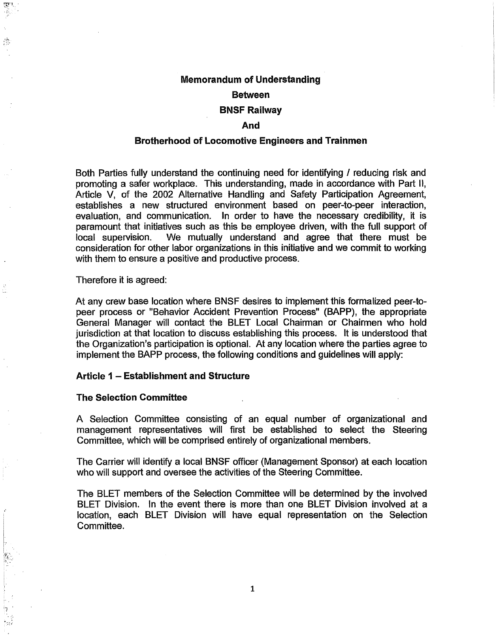# Memorandum of Understanding

# Between

#### BNSF Railway

# And

#### Brotherhood of Locomotive Engineers and Trainmen

Both Parties fully understand the continuing need for identifying / reducing risk and promoting a safer workplace. This understanding, made in accordance with Part II, Article V, of the 2002 Alternative Handling and Safety Participation Agreement, establishes a new structured environment based on peer-to-peer interaction, evaluation, and communication. In order to have the necessary credibility, it is paramount that initiatives such as this be employee driven, with the full support of local supervision. We mutually understand and agree that there must be consideration for other labor organizations in this initiative and we commit to working with them to ensure a positive and productive process.

Therefore it is agreed:

At any crew base location where BNSF desires to implement this formalized peer-topeer process or "Behavior Accident Prevention Process" (BAPP), the appropriate General Manager will contact the BLET Local Chairman or Chairmen who hold jurisdiction at that location to discuss establishing this process. It is understood that the Organization's participation is optional. At any location where the parties agree to implement the BAPP process, the following conditions and guidelines will apply:

## Article 1 - Establishment and Structure

#### The Selection Committee

I',! '

्र S.

> A Selection Committee consisting of an equal number of organizational and management representatives will first be established to select the Steering Committee, which will be comprised entirely of organizational members.

> The Carrier will identify a local BNSF officer (Management Sponsor) at each location who will support and oversee the activities of the Steering Committee.

> The BLET members of the Selection Committee will be determined by the involved BLET Division. In the event there is more than one BLET Division involved at a location, each BLET Division will have equal representation on the Selection Committee.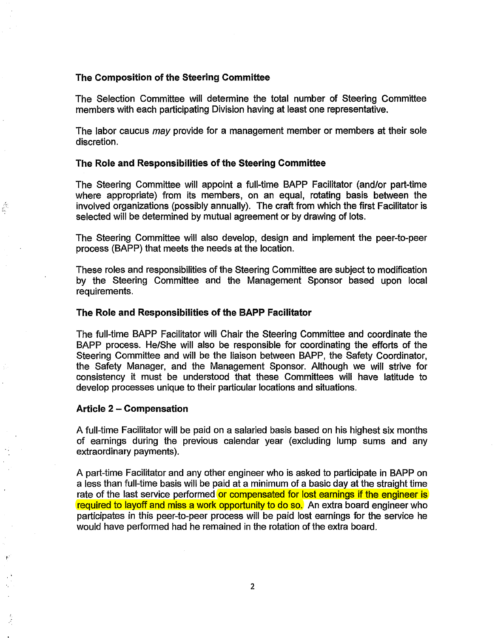## The Composition of the Steering Committee

The Selection Committee will determine the total number of Steering Committee members with each participating Division having at least one representative.

The labor caucus *may* provide for a management member or members at their sole discretion.

## The Role and Responsibilities of the Steering Committee

The Steering Committee will appoint a full-time BAPP Facilitator (and/or part-time where appropriate) from its members, on an equal, rotating basis between the involved organizations (possibly annually). The craft from which the first Facilitator is selected will be determined by mutual agreement or by drawing of lots.

The Steering Committee will also develop, design and implement the peer-to-peer process (BAPP) that meets the needs at the location.

These roles and responsibilities of the Steering Committee are subject to modification by the Steering Committee and the Management Sponsor based upon local requirements.

## The Role and Responsibilities of the BAPP Facilitator

The full-time BAPP Facilitator will Chair the Steering Committee and coordinate the BAPP process. He/She will also be responsible for coordinating the efforts of the Steering Committee and will be the liaison between BAPP, the Safety Coordinator, the Safety Manager, and the Management Sponsor. Although we will strive for consistency it must be understood that these Committees will have latitude to develop processes unique to their particular locations and situations.

## Article 2 - Compensation

r··

 $\frac{1}{\ln 2}$ 

A full-time Facilitator will be paid on a salaried basis based on his highest six months of earnings during the previous calendar year {excluding lump sums and any extraordinary payments).

A part-time Facilitator and any other engineer who is asked to participate in BAPP on a less than full-time basis will be paid at a minimum of a basic day at the straight time rate of the last service performed or compensated for lost earnings if the engineer is required to layoff and miss a work opportunity to do so. An extra board engineer who participates in this peer-to-peer process will be paid lost earnings for the service he would have performed had he remained in the rotation of the extra board.